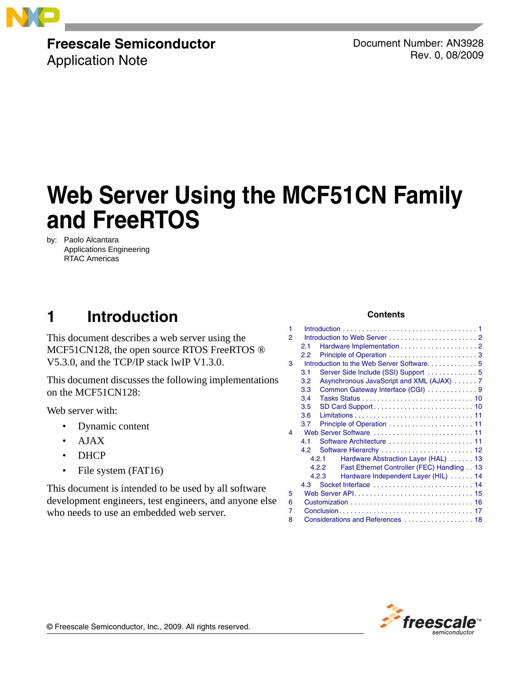

# **Freescale Semiconductor**

Application Note

Document Number: AN3928 Rev. 0, 08/2009

# **Web Server Using the MCF51CN Family and FreeRTOS**

by: Paolo Alcantara Applications Engineering RTAC Americas

# <span id="page-0-0"></span>**1 Introduction**

This document describes a web server using the MCF51CN128, the open source RTOS FreeRTOS ® V5.3.0, and the TCP/IP stack lwIP V1.3.0.

This document discusses the following implementations on the MCF51CN128:

Web server with:

- Dynamic content
- AJAX
- DHCP
- File system (FAT16)

This document is intended to be used by all software development engineers, test engineers, and anyone else who needs to use an embedded web server.

#### **Contents**

| 1 |     |       |                                            |  |
|---|-----|-------|--------------------------------------------|--|
| 2 |     |       |                                            |  |
|   | 2.1 |       |                                            |  |
|   | 2.2 |       |                                            |  |
| 3 |     |       | Introduction to the Web Server Software 5  |  |
|   | 3.1 |       | Server Side Include (SSI) Support  5       |  |
|   | 3.2 |       | Asynchronous JavaScript and XML (AJAX) 7   |  |
|   | 3.3 |       | Common Gateway Interface (CGI) 9           |  |
|   | 3.4 |       |                                            |  |
|   | 3.5 |       |                                            |  |
|   | 3.6 |       |                                            |  |
|   | 3.7 |       |                                            |  |
| 4 |     |       |                                            |  |
|   | 4.1 |       |                                            |  |
|   | 4.2 |       |                                            |  |
|   |     | 4.2.1 | Hardware Abstraction Layer (HAL)  13       |  |
|   |     | 4.2.2 | Fast Ethernet Controller (FEC) Handling 13 |  |
|   |     | 4.2.3 | Hardware Independent Layer (HIL)  14       |  |
|   | 43  |       |                                            |  |
| 5 |     |       |                                            |  |
| 6 |     |       |                                            |  |
| 7 |     |       |                                            |  |
| 8 |     |       |                                            |  |



© Freescale Semiconductor, Inc., 2009. All rights reserved.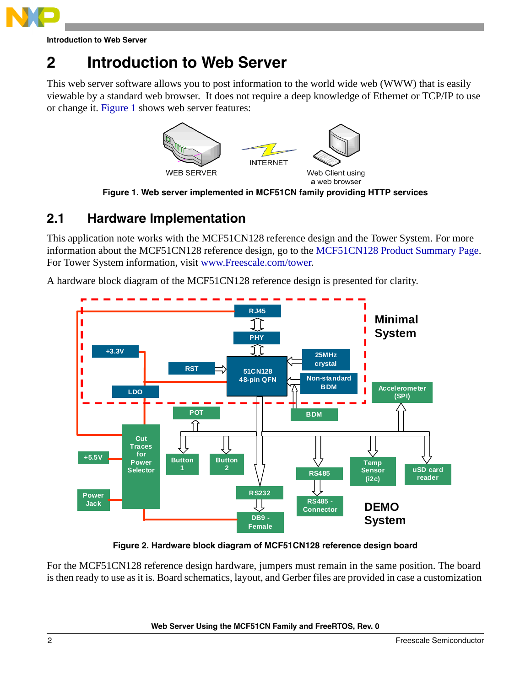

**Introduction to Web Server**

# <span id="page-1-0"></span>**2 Introduction to Web Server**

This web server software allows you to post information to the world wide web (WWW) that is easily viewable by a standard web browser. It does not require a deep knowledge of Ethernet or TCP/IP to use or change it. [Figure 1](#page-1-2) shows web server features:



**Figure 1. Web server implemented in MCF51CN family providing HTTP services**

## <span id="page-1-2"></span><span id="page-1-1"></span>**2.1 Hardware Implementation**

This application note works with the MCF51CN128 reference design and the Tower System. For more information about the MCF51CN128 reference design, go to the [MCF51CN128 Product Summary Page](http://www.freescale.com/webapp/sps/site/prod_summary.jsp?code=MCF51CN128&nodeId=0162468rH3YTLC00M924B2). For Tower System information, visit [www.Freescale.com/tower.](http://www.freescale.com/webapp/sps/site/overview.jsp?code=TOWER_HOME&tid=vantower)

A hardware block diagram of the MCF51CN128 reference design is presented for clarity.



**Figure 2. Hardware block diagram of MCF51CN128 reference design board**

For the MCF51CN128 reference design hardware, jumpers must remain in the same position. The board is then ready to use as it is. Board schematics, layout, and Gerber files are provided in case a customization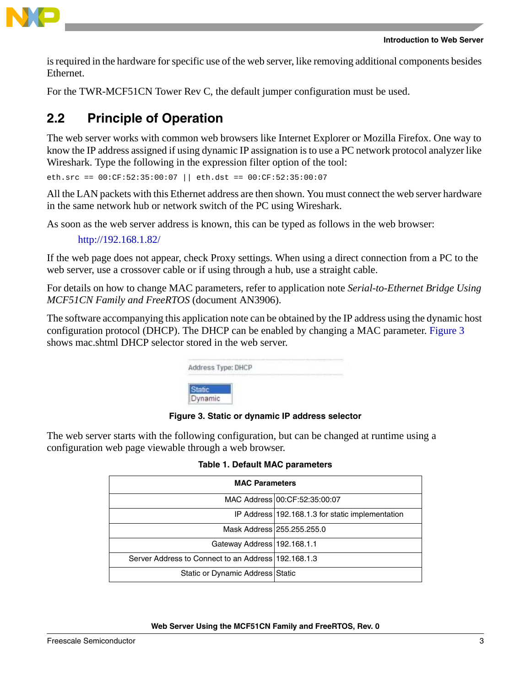

is required in the hardware for specific use of the web server, like removing additional components besides Ethernet.

For the TWR-MCF51CN Tower Rev C, the default jumper configuration must be used.

## <span id="page-2-0"></span>**2.2 Principle of Operation**

The web server works with common web browsers like Internet Explorer or Mozilla Firefox. One way to know the IP address assigned if using dynamic IP assignation is to use a PC network protocol analyzer like Wireshark. Type the following in the expression filter option of the tool:

eth.src == 00:CF:52:35:00:07 || eth.dst == 00:CF:52:35:00:07

All the LAN packets with this Ethernet address are then shown. You must connect the web server hardware in the same network hub or network switch of the PC using Wireshark.

As soon as the web server address is known, this can be typed as follows in the web browser:

#### http://192.168.1.82/

If the web page does not appear, check Proxy settings. When using a direct connection from a PC to the web server, use a crossover cable or if using through a hub, use a straight cable.

For details on how to change MAC parameters, refer to application note *Serial-to-Ethernet Bridge Using MCF51CN Family and FreeRTOS* (document AN3906).

The software accompanying this application note can be obtained by the IP address using the dynamic host configuration protocol (DHCP). The DHCP can be enabled by changing a MAC parameter. [Figure 3](#page-2-1) shows mac.shtml DHCP selector stored in the web server.

| Address Type: DHCP |  |
|--------------------|--|
| atic               |  |
| ynamic             |  |

**Figure 3. Static or dynamic IP address selector**

<span id="page-2-1"></span>The web server starts with the following configuration, but can be changed at runtime using a configuration web page viewable through a web browser.

|  |  | <b>Table 1. Default MAC parameters</b> |
|--|--|----------------------------------------|
|--|--|----------------------------------------|

| <b>MAC Parameters</b>                               |                                                  |
|-----------------------------------------------------|--------------------------------------------------|
|                                                     | MAC Address 00:CF:52:35:00:07                    |
|                                                     | IP Address 192.168.1.3 for static implementation |
|                                                     | Mask Address 255.255.255.0                       |
| Gateway Address 192.168.1.1                         |                                                  |
| Server Address to Connect to an Address 192.168.1.3 |                                                  |
| Static or Dynamic Address Static                    |                                                  |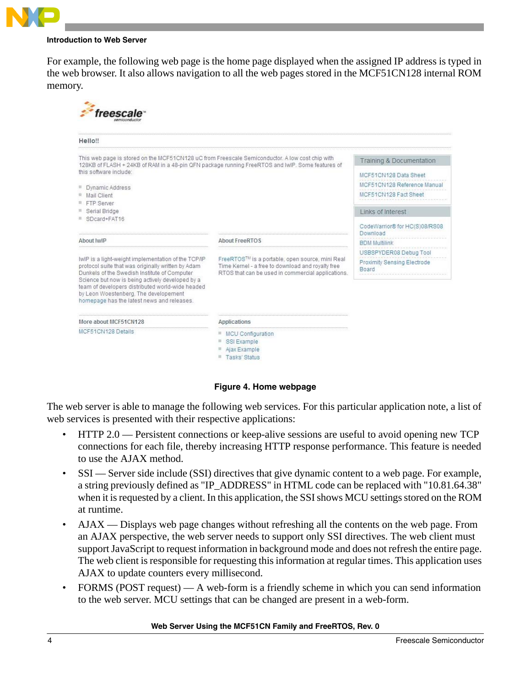

#### **Introduction to Web Server**

For example, the following web page is the home page displayed when the assigned IP address is typed in the web browser. It also allows navigation to all the web pages stored in the MCF51CN128 internal ROM memory.

| Hello!!                                                                                                                                                                                     |                                                                                                                                                           |                                           |
|---------------------------------------------------------------------------------------------------------------------------------------------------------------------------------------------|-----------------------------------------------------------------------------------------------------------------------------------------------------------|-------------------------------------------|
| This web page is stored on the MCF51CN128 uC from Freescale Semiconductor. A low cost chip with                                                                                             | 128KB of FLASH + 24KB of RAM in a 48-pin QFN package running FreeRTOS and IwIP. Some features of                                                          | Training & Documentation                  |
| this software include:                                                                                                                                                                      |                                                                                                                                                           | MCF51CN128 Data Sheet                     |
| Dynamic Address                                                                                                                                                                             |                                                                                                                                                           | MCF51CN128 Reference Manual               |
| Mail Client                                                                                                                                                                                 |                                                                                                                                                           | MCF51CN128 Fact Sheet                     |
| FTP Server                                                                                                                                                                                  |                                                                                                                                                           |                                           |
| Serial Bridge                                                                                                                                                                               |                                                                                                                                                           | Links of Interest                         |
| SDcard+FAT16                                                                                                                                                                                |                                                                                                                                                           | CodeWarrior® for HC(S)08/RS08<br>Download |
| About IwIP                                                                                                                                                                                  | <b>About FreeRTOS</b>                                                                                                                                     | <b>BDM Multilink</b>                      |
|                                                                                                                                                                                             |                                                                                                                                                           | USBSPYDER08 Debug Tool                    |
| IwIP is a light-weight implementation of the TCP/IP<br>protocol suite that was originally written by Adam<br>Dunkels of the Swedish Institute of Computer                                   | FreeRTOS™ is a portable, open source, mini Real<br>Time Kernel - a free to download and royalty free<br>RTOS that can be used in commercial applications. | Proximity Sensing Electrode<br>Board      |
| Science but now is being actively developed by a<br>team of developers distributed world-wide headed<br>by Leon Woestenberg. The developement<br>homepage has the latest news and releases. |                                                                                                                                                           |                                           |
| More about MCF51CN128                                                                                                                                                                       | Applications                                                                                                                                              |                                           |
| MCF51CN128 Details                                                                                                                                                                          | <b>MCU Configuration</b><br>淵                                                                                                                             |                                           |
|                                                                                                                                                                                             | SSI Example                                                                                                                                               |                                           |
|                                                                                                                                                                                             | Ajax Example<br>Tasks' Status                                                                                                                             |                                           |

**Figure 4. Home webpage**

The web server is able to manage the following web services. For this particular application note, a list of web services is presented with their respective applications:

- HTTP 2.0 Persistent connections or keep-alive sessions are useful to avoid opening new TCP connections for each file, thereby increasing HTTP response performance. This feature is needed to use the AJAX method.
- SSI Server side include (SSI) directives that give dynamic content to a web page. For example, a string previously defined as "IP\_ADDRESS" in HTML code can be replaced with "10.81.64.38" when it is requested by a client. In this application, the SSI shows MCU settings stored on the ROM at runtime.
- AJAX Displays web page changes without refreshing all the contents on the web page. From an AJAX perspective, the web server needs to support only SSI directives. The web client must support JavaScript to request information in background mode and does not refresh the entire page. The web client is responsible for requesting this information at regular times. This application uses AJAX to update counters every millisecond.
- FORMS (POST request) A web-form is a friendly scheme in which you can send information to the web server. MCU settings that can be changed are present in a web-form.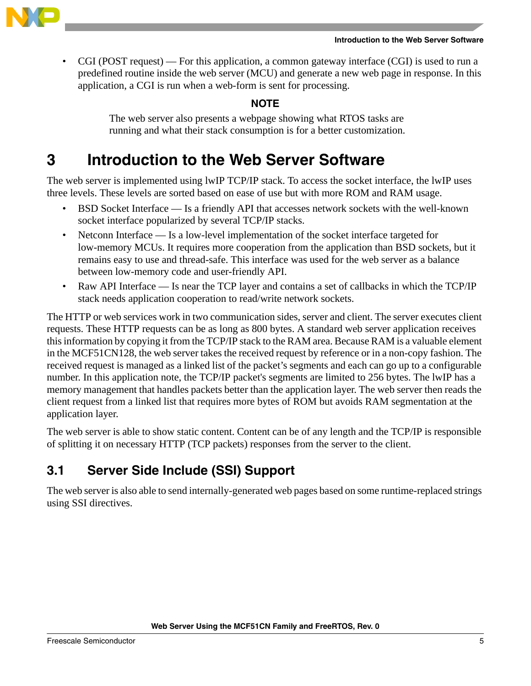

• CGI (POST request) — For this application, a common gateway interface (CGI) is used to run a predefined routine inside the web server (MCU) and generate a new web page in response. In this application, a CGI is run when a web-form is sent for processing.

### **NOTE**

The web server also presents a webpage showing what RTOS tasks are running and what their stack consumption is for a better customization.

# <span id="page-4-0"></span>**3 Introduction to the Web Server Software**

The web server is implemented using lwIP TCP/IP stack. To access the socket interface, the lwIP uses three levels. These levels are sorted based on ease of use but with more ROM and RAM usage.

- BSD Socket Interface Is a friendly API that accesses network sockets with the well-known socket interface popularized by several TCP/IP stacks.
- Netconn Interface Is a low-level implementation of the socket interface targeted for low-memory MCUs. It requires more cooperation from the application than BSD sockets, but it remains easy to use and thread-safe. This interface was used for the web server as a balance between low-memory code and user-friendly API.
- Raw API Interface Is near the TCP layer and contains a set of callbacks in which the TCP/IP stack needs application cooperation to read/write network sockets.

The HTTP or web services work in two communication sides, server and client. The server executes client requests. These HTTP requests can be as long as 800 bytes. A standard web server application receives this information by copying it from the TCP/IP stack to the RAM area. Because RAM is a valuable element in the MCF51CN128, the web server takes the received request by reference or in a non-copy fashion. The received request is managed as a linked list of the packet's segments and each can go up to a configurable number. In this application note, the TCP/IP packet's segments are limited to 256 bytes. The lwIP has a memory management that handles packets better than the application layer. The web server then reads the client request from a linked list that requires more bytes of ROM but avoids RAM segmentation at the application layer.

The web server is able to show static content. Content can be of any length and the TCP/IP is responsible of splitting it on necessary HTTP (TCP packets) responses from the server to the client.

## <span id="page-4-1"></span>**3.1 Server Side Include (SSI) Support**

The web server is also able to send internally-generated web pages based on some runtime-replaced strings using SSI directives.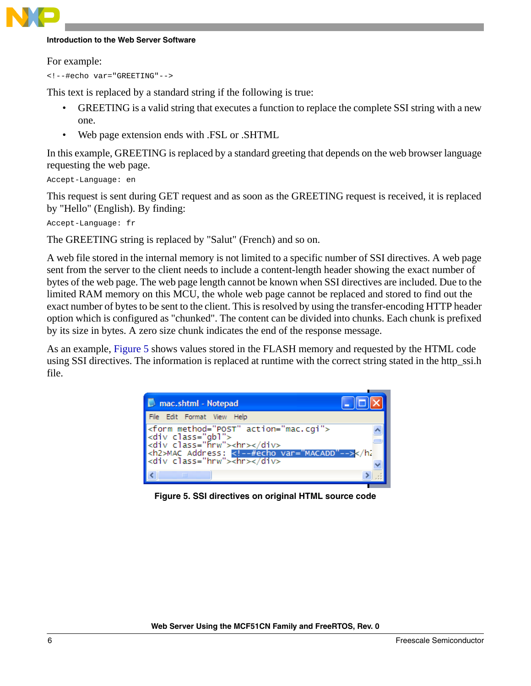

For example:

<!--#echo var="GREETING"-->

This text is replaced by a standard string if the following is true:

- GREETING is a valid string that executes a function to replace the complete SSI string with a new one.
- Web page extension ends with .FSL or .SHTML

In this example, GREETING is replaced by a standard greeting that depends on the web browser language requesting the web page.

```
Accept-Language: en
```
This request is sent during GET request and as soon as the GREETING request is received, it is replaced by "Hello" (English). By finding:

Accept-Language: fr

The GREETING string is replaced by "Salut" (French) and so on.

A web file stored in the internal memory is not limited to a specific number of SSI directives. A web page sent from the server to the client needs to include a content-length header showing the exact number of bytes of the web page. The web page length cannot be known when SSI directives are included. Due to the limited RAM memory on this MCU, the whole web page cannot be replaced and stored to find out the exact number of bytes to be sent to the client. This is resolved by using the transfer-encoding HTTP header option which is configured as "chunked". The content can be divided into chunks. Each chunk is prefixed by its size in bytes. A zero size chunk indicates the end of the response message.

As an example, [Figure 5](#page-5-0) shows values stored in the FLASH memory and requested by the HTML code using SSI directives. The information is replaced at runtime with the correct string stated in the http\_ssi.h file.

| mac.shtml - Notepad                                                                                                                                                                       |  |
|-------------------------------------------------------------------------------------------------------------------------------------------------------------------------------------------|--|
| File Edit Format View Help                                                                                                                                                                |  |
| <form action="mac.cgi" method="POST"><br/><div class="gbl"><br/><div class="hrw"><hr/></div><br/><h2>MAC Address: <!--#echo var="MACADD"--><div class="hrw"><hr/></div></h2></div></form> |  |
|                                                                                                                                                                                           |  |

<span id="page-5-0"></span>**Figure 5. SSI directives on original HTML source code**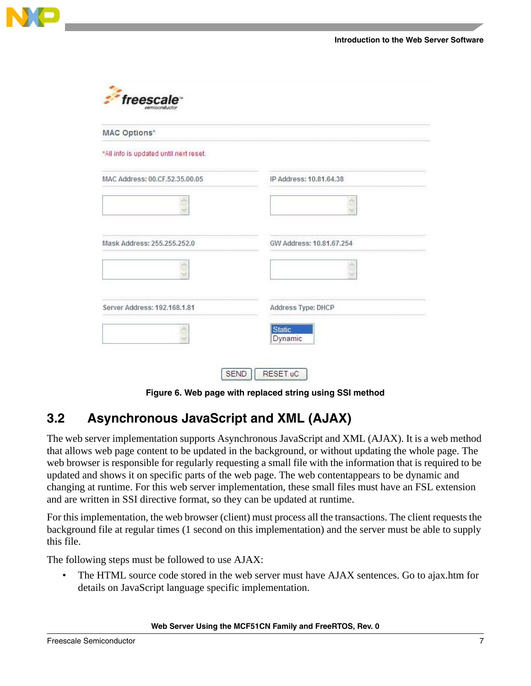

| MAC Options*                           |                          |
|----------------------------------------|--------------------------|
| *All info is updated until next reset. |                          |
| MAC Address: 00.CF.52.35.00.05         | IP Address: 10.81.64.38  |
|                                        |                          |
| Mask Address: 255.255.252.0            | GW Address: 10.81.67.254 |
|                                        |                          |
| Server Address: 192.168.1.81           | Address Type: DHCP       |
|                                        | <b>Static</b><br>Dynamic |

**Figure 6. Web page with replaced string using SSI method**

### <span id="page-6-0"></span>**3.2 Asynchronous JavaScript and XML (AJAX)**

The web server implementation supports Asynchronous JavaScript and XML (AJAX). It is a web method that allows web page content to be updated in the background, or without updating the whole page. The web browser is responsible for regularly requesting a small file with the information that is required to be updated and shows it on specific parts of the web page. The web contentappears to be dynamic and changing at runtime. For this web server implementation, these small files must have an FSL extension and are written in SSI directive format, so they can be updated at runtime.

For this implementation, the web browser (client) must process all the transactions. The client requests the background file at regular times (1 second on this implementation) and the server must be able to supply this file.

The following steps must be followed to use AJAX:

The HTML source code stored in the web server must have AJAX sentences. Go to ajax.htm for details on JavaScript language specific implementation.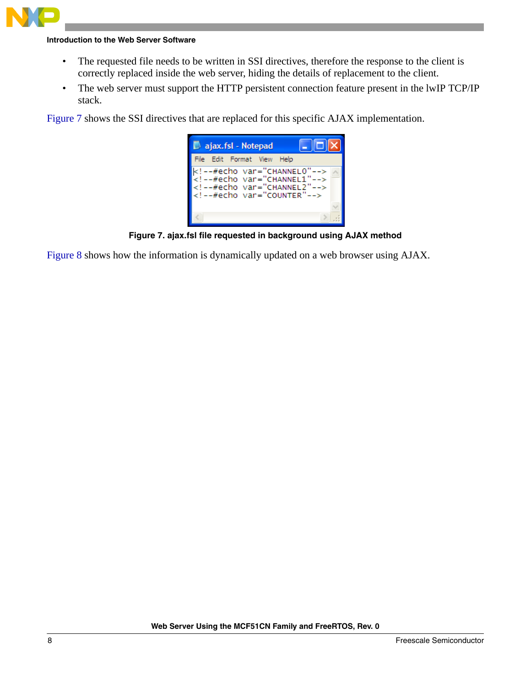

- The requested file needs to be written in SSI directives, therefore the response to the client is correctly replaced inside the web server, hiding the details of replacement to the client.
- The web server must support the HTTP persistent connection feature present in the lwIP TCP/IP stack.

[Figure 7](#page-7-0) shows the SSI directives that are replaced for this specific AJAX implementation.



**Figure 7. ajax.fsl file requested in background using AJAX method**

<span id="page-7-0"></span>[Figure 8](#page-8-1) shows how the information is dynamically updated on a web browser using AJAX.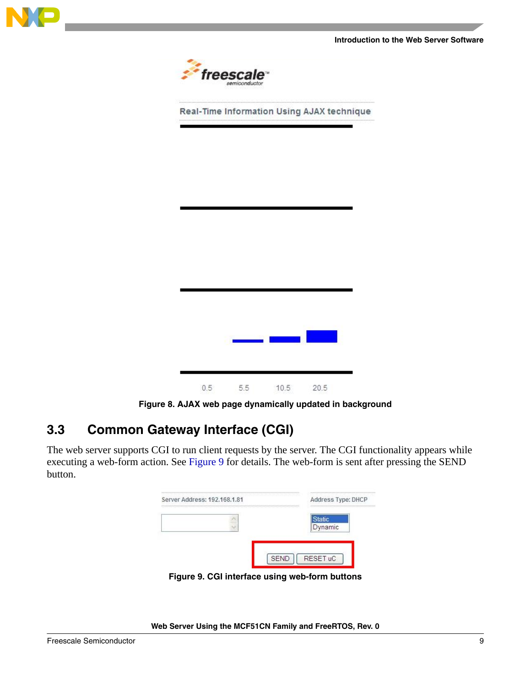



Real-Time Information Using AJAX technique

|     |     |      | <b>WASHER</b><br>w |
|-----|-----|------|--------------------|
| 0.5 | 5.5 | 10.5 | 20.5               |

**Figure 8. AJAX web page dynamically updated in background**

## <span id="page-8-1"></span><span id="page-8-0"></span>**3.3 Common Gateway Interface (CGI)**

The web server supports CGI to run client requests by the server. The CGI functionality appears while executing a web-form action. See [Figure 9](#page-8-2) for details. The web-form is sent after pressing the SEND button.

| Server Address: 192.168.1.81 | Address Type: DHCP      |
|------------------------------|-------------------------|
|                              | mamic                   |
|                              | RESET uC<br><b>SEND</b> |

<span id="page-8-2"></span>**Figure 9. CGI interface using web-form buttons**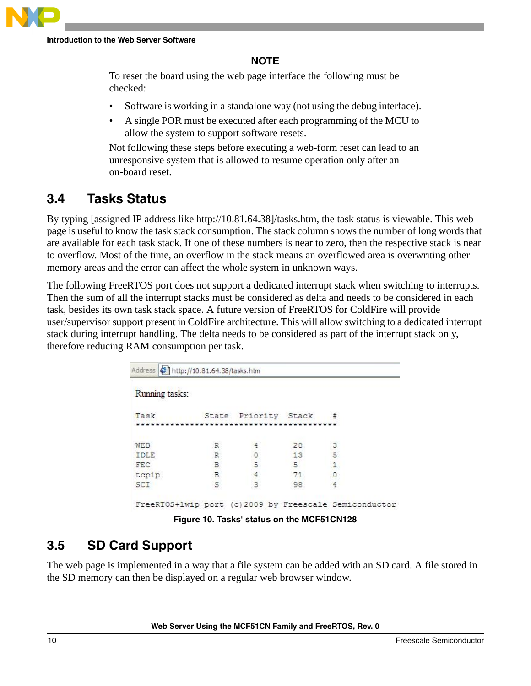### **NOTE**

To reset the board using the web page interface the following must be checked:

- Software is working in a standalone way (not using the debug interface).
- A single POR must be executed after each programming of the MCU to allow the system to support software resets.

Not following these steps before executing a web-form reset can lead to an unresponsive system that is allowed to resume operation only after an on-board reset.

## <span id="page-9-0"></span>**3.4 Tasks Status**

By typing [assigned IP address like http://10.81.64.38]/tasks.htm, the task status is viewable. This web page is useful to know the task stack consumption. The stack column shows the number of long words that are available for each task stack. If one of these numbers is near to zero, then the respective stack is near to overflow. Most of the time, an overflow in the stack means an overflowed area is overwriting other memory areas and the error can affect the whole system in unknown ways.

The following FreeRTOS port does not support a dedicated interrupt stack when switching to interrupts. Then the sum of all the interrupt stacks must be considered as delta and needs to be considered in each task, besides its own task stack space. A future version of FreeRTOS for ColdFire will provide user/supervisor support present in ColdFire architecture. This will allow switching to a dedicated interrupt stack during interrupt handling. The delta needs to be considered as part of the interrupt stack only, therefore reducing RAM consumption per task.

| Address # http://10.81.64.38/tasks.htm |   |                      |    |                                                       |
|----------------------------------------|---|----------------------|----|-------------------------------------------------------|
| Running tasks:                         |   |                      |    |                                                       |
| Task                                   |   | State Priority Stack |    |                                                       |
|                                        |   |                      |    |                                                       |
| <b>WEB</b>                             | R | 4                    | 28 | 3                                                     |
| IDLE                                   | R | 0                    | 13 | 5                                                     |
| FEC.                                   | B | 5                    | 5  | $\mathbf{1}$                                          |
| topip                                  | B | $\frac{4}{1}$        | 71 | o                                                     |
| <b>SCT</b>                             | s | 3                    | 98 | 4                                                     |
|                                        |   |                      |    | FreeRTOS+1wip port (c)2009 by Freescale Semiconductor |

**Figure 10. Tasks' status on the MCF51CN128**

## <span id="page-9-1"></span>**3.5 SD Card Support**

The web page is implemented in a way that a file system can be added with an SD card. A file stored in the SD memory can then be displayed on a regular web browser window.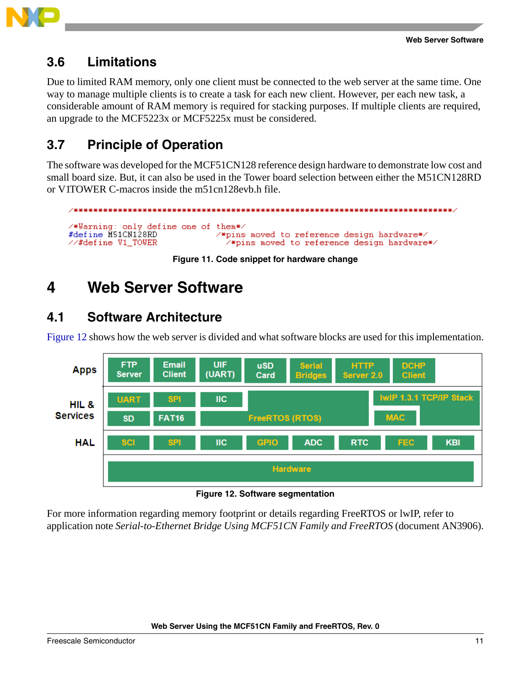

## <span id="page-10-0"></span>**3.6 Limitations**

Due to limited RAM memory, only one client must be connected to the web server at the same time. One way to manage multiple clients is to create a task for each new client. However, per each new task, a considerable amount of RAM memory is required for stacking purposes. If multiple clients are required, an upgrade to the MCF5223x or MCF5225x must be considered.

# <span id="page-10-1"></span>**3.7 Principle of Operation**

The software was developed for the MCF51CN128 reference design hardware to demonstrate low cost and small board size. But, it can also be used in the Tower board selection between either the M51CN128RD or V1TOWER C-macros inside the m51cn128evb.h file.

/\*Warning: only define one of them\*/ #define M51CN128RD /\*pins moved to reference design hardware\*/ //#define V1 TOWER /\*pins moved to reference design hardware\*/

**Figure 11. Code snippet for hardware change**

# <span id="page-10-2"></span>**4 Web Server Software**

## <span id="page-10-3"></span>**4.1 Software Architecture**



[Figure 12](#page-10-4) shows how the web server is divided and what software blocks are used for this implementation.

**Figure 12. Software segmentation**

<span id="page-10-4"></span>For more information regarding memory footprint or details regarding FreeRTOS or lwIP, refer to application note *Serial-to-Ethernet Bridge Using MCF51CN Family and FreeRTOS* (document AN3906).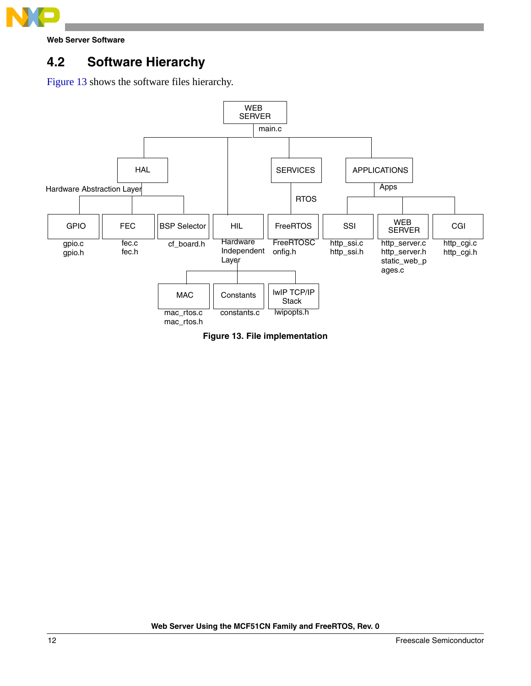

**Web Server Software**

## <span id="page-11-0"></span>**4.2 Software Hierarchy**

[Figure 13](#page-11-1) shows the software files hierarchy.



<span id="page-11-1"></span>**Figure 13. File implementation**

**Web Server Using the MCF51CN Family and FreeRTOS, Rev. 0**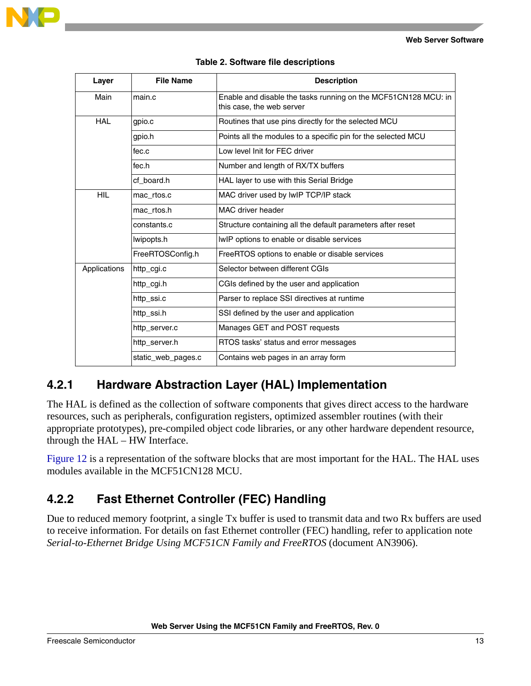

| Layer        | <b>File Name</b>   | <b>Description</b>                                                                          |
|--------------|--------------------|---------------------------------------------------------------------------------------------|
| Main         | main.c             | Enable and disable the tasks running on the MCF51CN128 MCU: in<br>this case, the web server |
| <b>HAL</b>   | gpio.c             | Routines that use pins directly for the selected MCU                                        |
|              | gpio.h             | Points all the modules to a specific pin for the selected MCU                               |
|              | fec.c              | Low level Init for FEC driver                                                               |
|              | fec.h              | Number and length of RX/TX buffers                                                          |
|              | cf_board.h         | HAL layer to use with this Serial Bridge                                                    |
| <b>HIL</b>   | mac rtos.c         | MAC driver used by IwIP TCP/IP stack                                                        |
|              | mac rtos.h         | MAC driver header                                                                           |
|              | constants.c        | Structure containing all the default parameters after reset                                 |
|              | lwipopts.h         | IwIP options to enable or disable services                                                  |
|              | FreeRTOSConfig.h   | FreeRTOS options to enable or disable services                                              |
| Applications | http_cgi.c         | Selector between different CGIs                                                             |
|              | http_cgi.h         | CGIs defined by the user and application                                                    |
|              | http_ssi.c         | Parser to replace SSI directives at runtime                                                 |
|              | http_ssi.h         | SSI defined by the user and application                                                     |
|              | http_server.c      | Manages GET and POST requests                                                               |
|              | http_server.h      | RTOS tasks' status and error messages                                                       |
|              | static_web_pages.c | Contains web pages in an array form                                                         |

| Table 2. Software file descriptions |
|-------------------------------------|
|-------------------------------------|

### <span id="page-12-0"></span>**4.2.1 Hardware Abstraction Layer (HAL) Implementation**

The HAL is defined as the collection of software components that gives direct access to the hardware resources, such as peripherals, configuration registers, optimized assembler routines (with their appropriate prototypes), pre-compiled object code libraries, or any other hardware dependent resource, through the HAL – HW Interface.

[Figure 12](#page-10-4) is a representation of the software blocks that are most important for the HAL. The HAL uses modules available in the MCF51CN128 MCU.

### <span id="page-12-1"></span>**4.2.2 Fast Ethernet Controller (FEC) Handling**

Due to reduced memory footprint, a single Tx buffer is used to transmit data and two Rx buffers are used to receive information. For details on fast Ethernet controller (FEC) handling, refer to application note *Serial-to-Ethernet Bridge Using MCF51CN Family and FreeRTOS* (document AN3906).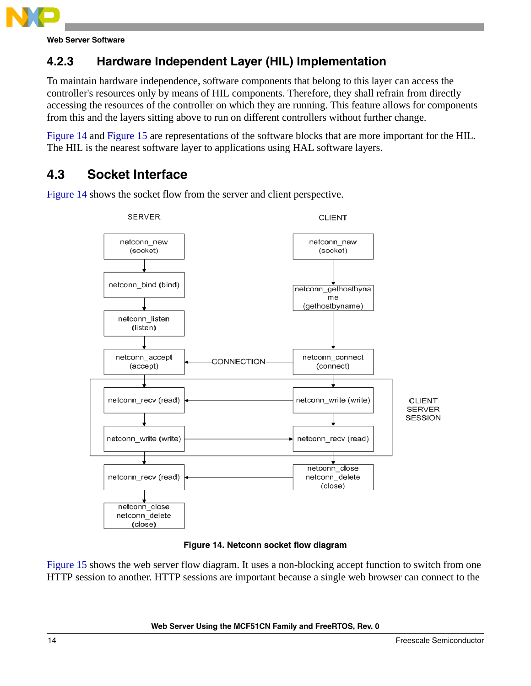

**Web Server Software**

### <span id="page-13-0"></span>**4.2.3 Hardware Independent Layer (HIL) Implementation**

To maintain hardware independence, software components that belong to this layer can access the controller's resources only by means of HIL components. Therefore, they shall refrain from directly accessing the resources of the controller on which they are running. This feature allows for components from this and the layers sitting above to run on different controllers without further change.

[Figure 14](#page-13-2) and [Figure 15](#page-14-1) are representations of the software blocks that are more important for the HIL. The HIL is the nearest software layer to applications using HAL software layers.

## <span id="page-13-1"></span>**4.3 Socket Interface**

[Figure 14](#page-13-2) shows the socket flow from the server and client perspective.



#### **Figure 14. Netconn socket flow diagram**

<span id="page-13-2"></span>[Figure 15](#page-14-1) shows the web server flow diagram. It uses a non-blocking accept function to switch from one HTTP session to another. HTTP sessions are important because a single web browser can connect to the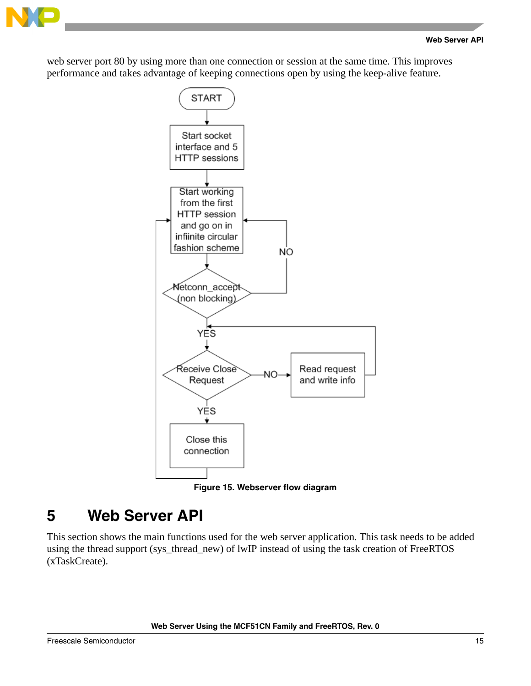



web server port 80 by using more than one connection or session at the same time. This improves performance and takes advantage of keeping connections open by using the keep-alive feature.





# <span id="page-14-1"></span><span id="page-14-0"></span>**5 Web Server API**

This section shows the main functions used for the web server application. This task needs to be added using the thread support (sys\_thread\_new) of lwIP instead of using the task creation of FreeRTOS (xTaskCreate).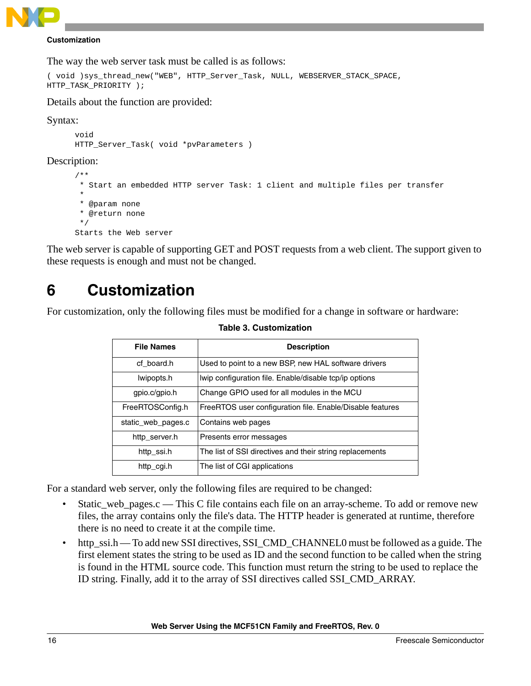#### **Customization**

The way the web server task must be called is as follows:

```
( void )sys_thread_new("WEB", HTTP_Server_Task, NULL, WEBSERVER_STACK_SPACE, 
HTTP_TASK_PRIORITY );
```
Details about the function are provided:

#### Syntax:

```
void
HTTP_Server_Task( void *pvParameters )
```
#### Description:

```
/**
  * Start an embedded HTTP server Task: 1 client and multiple files per transfer
 *
  * @param none
  * @return none
  */
Starts the Web server
```
The web server is capable of supporting GET and POST requests from a web client. The support given to these requests is enough and must not be changed.

# <span id="page-15-0"></span>**6 Customization**

For customization, only the following files must be modified for a change in software or hardware:

|  |  |  | Table 3. Customization |
|--|--|--|------------------------|
|--|--|--|------------------------|

| <b>File Names</b>  | <b>Description</b>                                        |  |
|--------------------|-----------------------------------------------------------|--|
| cf board.h         | Used to point to a new BSP, new HAL software drivers      |  |
| lwipopts.h         | Iwip configuration file. Enable/disable tcp/ip options    |  |
| gpio.c/gpio.h      | Change GPIO used for all modules in the MCU               |  |
| FreeRTOSConfig.h   | FreeRTOS user configuration file. Enable/Disable features |  |
| static web pages.c | Contains web pages                                        |  |
| http_server.h      | Presents error messages                                   |  |
| http_ssi.h         | The list of SSI directives and their string replacements  |  |
| http_cgi.h         | The list of CGI applications                              |  |

For a standard web server, only the following files are required to be changed:

- Static\_web\_pages.c This C file contains each file on an array-scheme. To add or remove new files, the array contains only the file's data. The HTTP header is generated at runtime, therefore there is no need to create it at the compile time.
- http\_ssi.h To add new SSI directives, SSI\_CMD\_CHANNEL0 must be followed as a guide. The first element states the string to be used as ID and the second function to be called when the string is found in the HTML source code. This function must return the string to be used to replace the ID string. Finally, add it to the array of SSI directives called SSI\_CMD\_ARRAY.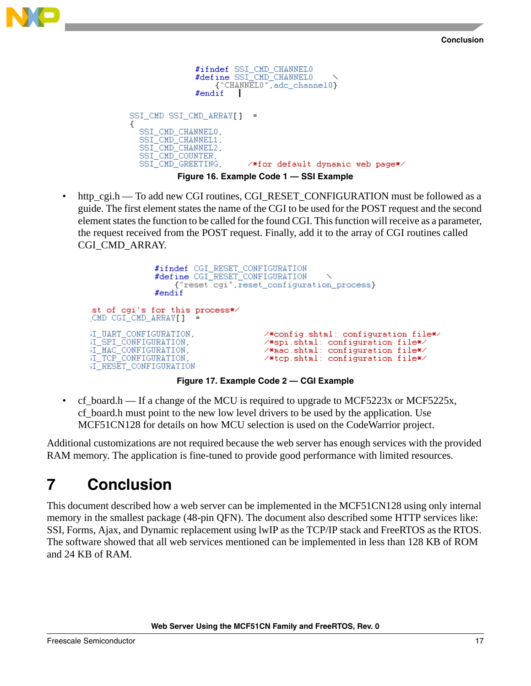

```
#ifndef SSI_CMD_CHANNEL0<br>#define SSI_CMD_CHANNEL0
                    {"CHANNELO", adc_channel0}
               #endif
SSI CMD SSI CMD ARRAY[] =
  SSI CMD CHANNELO,
  SSI CMD CHANNEL1.
  SSI_CMD_CHANNEL2,
  SSI_CMD_COUNTER.
  SSI_CMD_GREETING,
                            /*for default dynamic web page*/
           Figure 16. Example Code 1 — SSI Example
```
http\_cgi.h — To add new CGI routines, CGI\_RESET\_CONFIGURATION must be followed as a guide. The first element states the name of the CGI to be used for the POST request and the second element states the function to be called for the found CGI. This function will receive as a parameter, the request received from the POST request. Finally, add it to the array of CGI routines called CGI\_CMD\_ARRAY.

| #ifndef CGI RESET CONFIGURATION<br>#define CGI_RESET_CONFIGURATION<br>#endif                                                                       | {"reset.cqi",reset configuration process}                                                                                                                    |
|----------------------------------------------------------------------------------------------------------------------------------------------------|--------------------------------------------------------------------------------------------------------------------------------------------------------------|
| st of cqi's for this process*⁄<br>CMD CGI CMD ARRAY[] =                                                                                            |                                                                                                                                                              |
| <b>GI_UART_CONFIGURATION.</b><br><b>GPI_CONFIGURATION,</b><br><b>GI MAC CONFIGURATION.</b><br><b>I TCP CONFIGURATION.</b><br>I RESET CONFIGURATION | /*config.shtml: configuration file*/<br>/*spi.shtml: configuration file*/<br>/*mac.shtml: configuration file*/<br>$\angle *$ top.shtml: configuration file*/ |

**Figure 17. Example Code 2 — CGI Example**

• cf board.h — If a change of the MCU is required to upgrade to MCF5223x or MCF5225x, cf\_board.h must point to the new low level drivers to be used by the application. Use MCF51CN128 for details on how MCU selection is used on the CodeWarrior project.

Additional customizations are not required because the web server has enough services with the provided RAM memory. The application is fine-tuned to provide good performance with limited resources.

# <span id="page-16-0"></span>**7 Conclusion**

This document described how a web server can be implemented in the MCF51CN128 using only internal memory in the smallest package (48-pin QFN). The document also described some HTTP services like: SSI, Forms, Ajax, and Dynamic replacement using lwIP as the TCP/IP stack and FreeRTOS as the RTOS. The software showed that all web services mentioned can be implemented in less than 128 KB of ROM and 24 KB of RAM.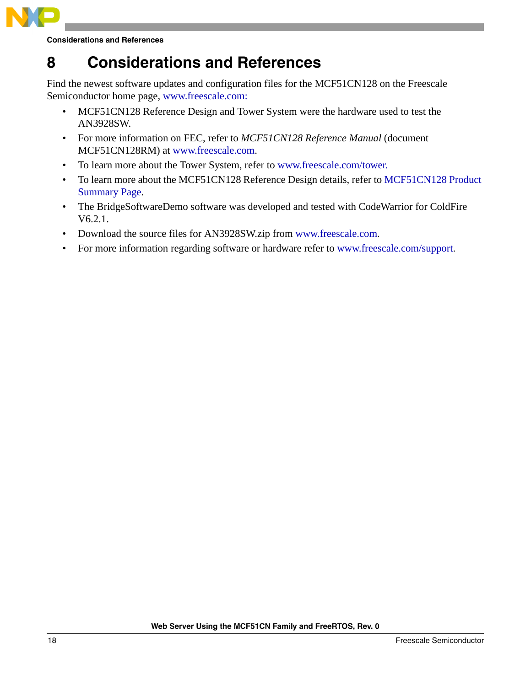

**Considerations and References**

# <span id="page-17-0"></span>**8 Considerations and References**

Find the newest software updates and configuration files for the MCF51CN128 on the Freescale Semiconductor home page, [www.freescale.com:](www.freescale.com)

- MCF51CN128 Reference Design and Tower System were the hardware used to test the AN3928SW.
- For more information on FEC, refer to *MCF51CN128 Reference Manual* (document MCF51CN128RM) at [www.freescale.com.](www.freescale.com)
- To learn more about the Tower System, refer to www.freescale.com/tower.
- To learn more about the MCF51CN128 Reference Design details, refer to MCF51CN128 Product [Summary Page.](http://www.freescale.com/webapp/sps/site/prod_summary.jsp?code=MCF51CN128&nodeId=0162468rH3YTLC00M924B2)
- The BridgeSoftwareDemo software was developed and tested with CodeWarrior for ColdFire V6.2.1.
- Download the source files for AN3928SW.zip from <www.freescale.com>.
- • [For more information regarding software or hardware refer to w](www.freescale.com/support)ww.freescale.com/support.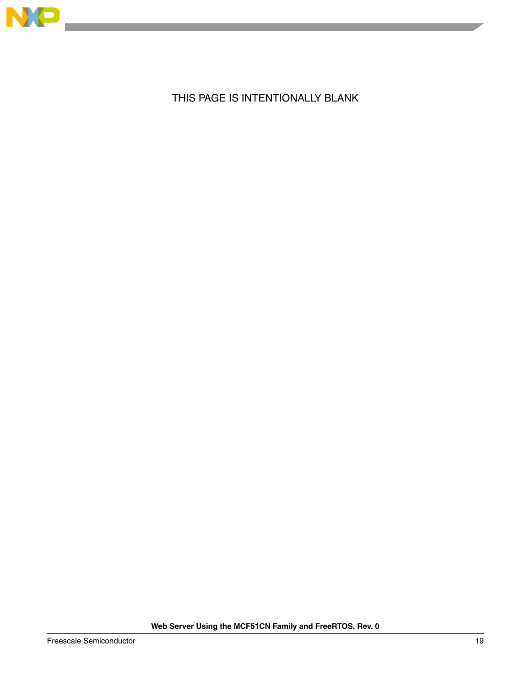

THIS PAGE IS INTENTIONALLY BLANK